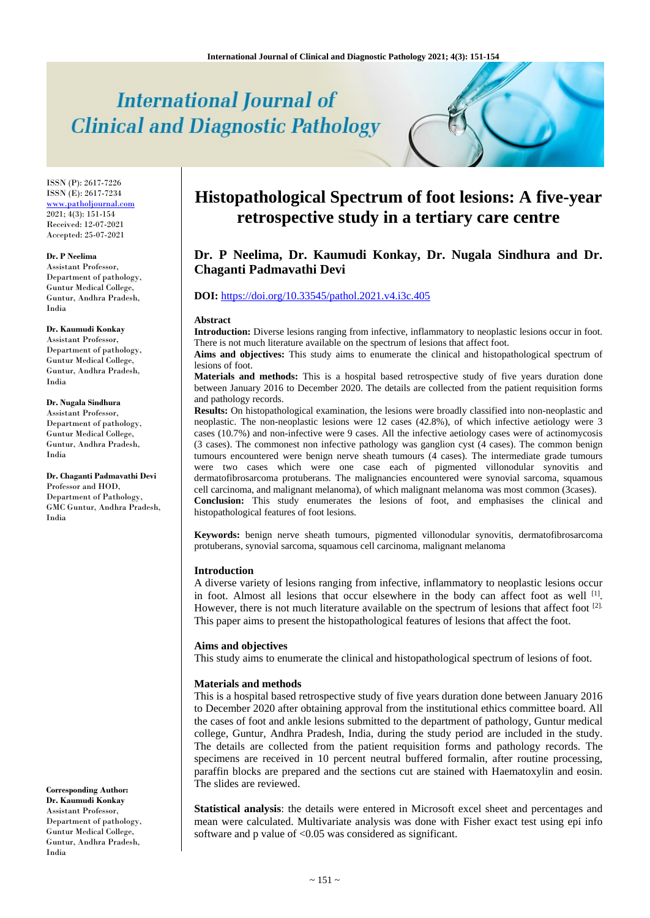# **International Journal of Clinical and Diagnostic Pathology**

ISSN (P): 2617-7226 ISSN (E): 2617-7234 [www.patholjournal.com](http://www.patholjournal.com/)  $2021; 4(3): 151-154$ Received: 12-07-2021 Accepted: 25-07-2021

#### **Dr. P Neelima**

Assistant Professor, Department of pathology, Guntur Medical College, Guntur, Andhra Pradesh, India

# **Dr. Kaumudi Konkay**

Assistant Professor, Department of pathology, Guntur Medical College, Guntur, Andhra Pradesh, India

# **Dr. Nugala Sindhura**

Assistant Professor, Department of pathology, Guntur Medical College, Guntur, Andhra Pradesh, India

**Dr. Chaganti Padmavathi Devi** Professor and HOD, Department of Pathology, GMC Guntur, Andhra Pradesh, India

**Corresponding Author: Dr. Kaumudi Konkay** Assistant Professor, Department of pathology, Guntur Medical College, Guntur, Andhra Pradesh, India

# **Histopathological Spectrum of foot lesions: A five-year retrospective study in a tertiary care centre**

# **Dr. P Neelima, Dr. Kaumudi Konkay, Dr. Nugala Sindhura and Dr. Chaganti Padmavathi Devi**

# **DOI:** <https://doi.org/10.33545/pathol.2021.v4.i3c.405>

#### **Abstract**

**Introduction:** Diverse lesions ranging from infective, inflammatory to neoplastic lesions occur in foot. There is not much literature available on the spectrum of lesions that affect foot.

**Aims and objectives:** This study aims to enumerate the clinical and histopathological spectrum of lesions of foot.

**Materials and methods:** This is a hospital based retrospective study of five years duration done between January 2016 to December 2020. The details are collected from the patient requisition forms and pathology records.

**Results:** On histopathological examination, the lesions were broadly classified into non-neoplastic and neoplastic. The non-neoplastic lesions were 12 cases (42.8%), of which infective aetiology were 3 cases (10.7%) and non-infective were 9 cases. All the infective aetiology cases were of actinomycosis (3 cases). The commonest non infective pathology was ganglion cyst (4 cases). The common benign tumours encountered were benign nerve sheath tumours (4 cases). The intermediate grade tumours were two cases which were one case each of pigmented villonodular synovitis and dermatofibrosarcoma protuberans. The malignancies encountered were synovial sarcoma, squamous cell carcinoma, and malignant melanoma), of which malignant melanoma was most common (3cases). **Conclusion:** This study enumerates the lesions of foot, and emphasises the clinical and histopathological features of foot lesions.

**Keywords:** benign nerve sheath tumours, pigmented villonodular synovitis, dermatofibrosarcoma protuberans, synovial sarcoma, squamous cell carcinoma, malignant melanoma

# **Introduction**

A diverse variety of lesions ranging from infective, inflammatory to neoplastic lesions occur in foot. Almost all lesions that occur elsewhere in the body can affect foot as well <sup>[1]</sup>. However, there is not much literature available on the spectrum of lesions that affect foot [2]. This paper aims to present the histopathological features of lesions that affect the foot.

#### **Aims and objectives**

This study aims to enumerate the clinical and histopathological spectrum of lesions of foot.

#### **Materials and methods**

This is a hospital based retrospective study of five years duration done between January 2016 to December 2020 after obtaining approval from the institutional ethics committee board. All the cases of foot and ankle lesions submitted to the department of pathology, Guntur medical college, Guntur, Andhra Pradesh, India, during the study period are included in the study. The details are collected from the patient requisition forms and pathology records. The specimens are received in 10 percent neutral buffered formalin, after routine processing, paraffin blocks are prepared and the sections cut are stained with Haematoxylin and eosin. The slides are reviewed.

**Statistical analysis**: the details were entered in Microsoft excel sheet and percentages and mean were calculated. Multivariate analysis was done with Fisher exact test using epi info software and p value of <0.05 was considered as significant.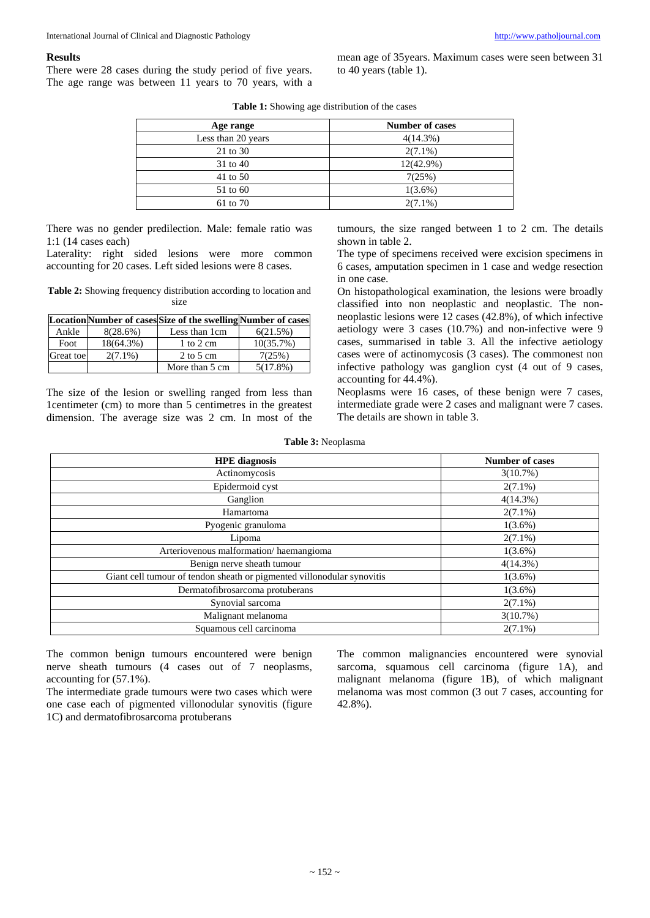# **Results**

There were 28 cases during the study period of five years. The age range was between 11 years to 70 years, with a mean age of 35years. Maximum cases were seen between 31 to 40 years (table 1).

| <b>Table 1:</b> Showing age distribution of the cases |  |  |
|-------------------------------------------------------|--|--|
|-------------------------------------------------------|--|--|

| Age range          | <b>Number of cases</b> |
|--------------------|------------------------|
| Less than 20 years | $4(14.3\%)$            |
| 21 to 30           | $2(7.1\%)$             |
| 31 to 40           | $12(42.9\%)$           |
| 41 to 50           | 7(25%)                 |
| 51 to 60           | $1(3.6\%)$             |
| 61 to 70           | $2(7.1\%)$             |

There was no gender predilection. Male: female ratio was 1:1 (14 cases each)

Laterality: right sided lesions were more common accounting for 20 cases. Left sided lesions were 8 cases.

**Table 2:** Showing frequency distribution according to location and size

|           |              | LocationNumber of cases Size of the swellingNumber of cases |             |
|-----------|--------------|-------------------------------------------------------------|-------------|
| Ankle     | 8(28.6%)     | Less than 1cm                                               | 6(21.5%)    |
| Foot      | $18(64.3\%)$ | 1 to 2 cm                                                   | 10(35.7%)   |
| Great toe | $2(7.1\%)$   | $2 \text{ to } 5 \text{ cm}$                                | 7(25%)      |
|           |              | More than 5 cm                                              | $5(17.8\%)$ |

The size of the lesion or swelling ranged from less than 1centimeter (cm) to more than 5 centimetres in the greatest dimension. The average size was 2 cm. In most of the tumours, the size ranged between 1 to 2 cm. The details shown in table 2.

The type of specimens received were excision specimens in 6 cases, amputation specimen in 1 case and wedge resection in one case.

On histopathological examination, the lesions were broadly classified into non neoplastic and neoplastic. The nonneoplastic lesions were 12 cases (42.8%), of which infective aetiology were 3 cases (10.7%) and non-infective were 9 cases, summarised in table 3. All the infective aetiology cases were of actinomycosis (3 cases). The commonest non infective pathology was ganglion cyst (4 out of 9 cases, accounting for 44.4%).

Neoplasms were 16 cases, of these benign were 7 cases, intermediate grade were 2 cases and malignant were 7 cases. The details are shown in table 3.

**Table 3:** Neoplasma

| <b>HPE</b> diagnosis                                                   | <b>Number of cases</b> |
|------------------------------------------------------------------------|------------------------|
| Actinomycosis                                                          | 3(10.7%)               |
| Epidermoid cyst                                                        | $2(7.1\%)$             |
| Ganglion                                                               | 4(14.3%)               |
| Hamartoma                                                              | $2(7.1\%)$             |
| Pyogenic granuloma                                                     | $1(3.6\%)$             |
| Lipoma                                                                 | $2(7.1\%)$             |
| Arteriovenous malformation/haemangioma                                 | $1(3.6\%)$             |
| Benign nerve sheath tumour                                             | 4(14.3%)               |
| Giant cell tumour of tendon sheath or pigmented villonodular synovitis | $1(3.6\%)$             |
| Dermatofibrosarcoma protuberans                                        | $1(3.6\%)$             |
| Synovial sarcoma                                                       | $2(7.1\%)$             |
| Malignant melanoma                                                     | 3(10.7%)               |
| Squamous cell carcinoma                                                | $2(7.1\%)$             |

The common benign tumours encountered were benign nerve sheath tumours (4 cases out of 7 neoplasms, accounting for (57.1%).

The intermediate grade tumours were two cases which were one case each of pigmented villonodular synovitis (figure 1C) and dermatofibrosarcoma protuberans

The common malignancies encountered were synovial sarcoma, squamous cell carcinoma (figure 1A), and malignant melanoma (figure 1B), of which malignant melanoma was most common (3 out 7 cases, accounting for 42.8%).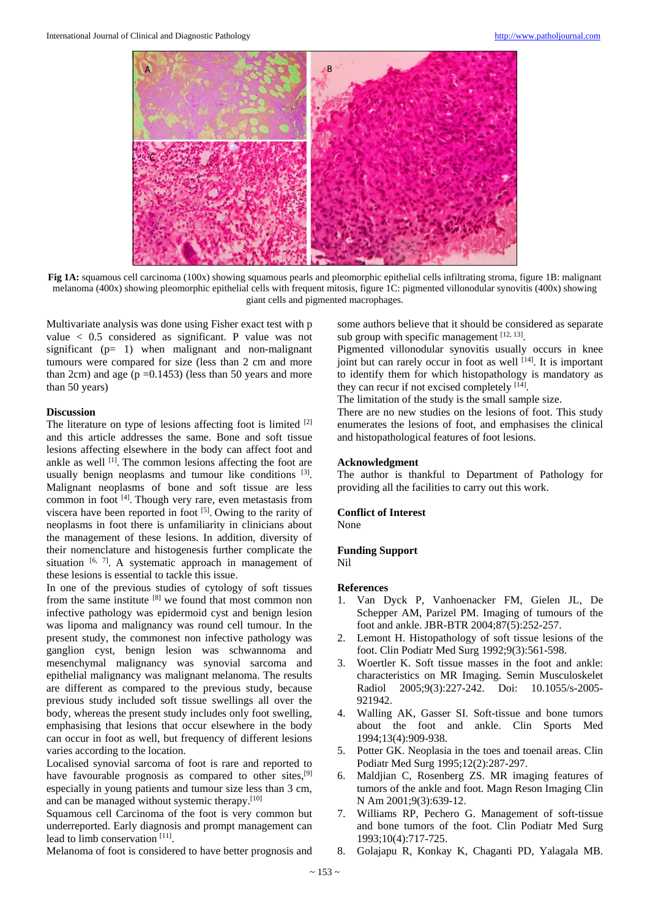

**Fig 1A:** squamous cell carcinoma (100x) showing squamous pearls and pleomorphic epithelial cells infiltrating stroma, figure 1B: malignant melanoma (400x) showing pleomorphic epithelial cells with frequent mitosis, figure 1C: pigmented villonodular synovitis (400x) showing giant cells and pigmented macrophages.

Multivariate analysis was done using Fisher exact test with p value < 0.5 considered as significant. P value was not significant (p= 1) when malignant and non-malignant tumours were compared for size (less than 2 cm and more than 2cm) and age ( $p = 0.1453$ ) (less than 50 years and more than 50 years)

## **Discussion**

The literature on type of lesions affecting foot is limited <sup>[2]</sup> and this article addresses the same. Bone and soft tissue lesions affecting elsewhere in the body can affect foot and ankle as well  $^{[1]}$ . The common lesions affecting the foot are usually benign neoplasms and tumour like conditions [3]. Malignant neoplasms of bone and soft tissue are less common in foot [4]. Though very rare, even metastasis from viscera have been reported in foot [5]. Owing to the rarity of neoplasms in foot there is unfamiliarity in clinicians about the management of these lesions. In addition, diversity of their nomenclature and histogenesis further complicate the situation  $[6, 7]$ . A systematic approach in management of these lesions is essential to tackle this issue.

In one of the previous studies of cytology of soft tissues from the same institute [8] we found that most common non infective pathology was epidermoid cyst and benign lesion was lipoma and malignancy was round cell tumour. In the present study, the commonest non infective pathology was ganglion cyst, benign lesion was schwannoma and mesenchymal malignancy was synovial sarcoma and epithelial malignancy was malignant melanoma. The results are different as compared to the previous study, because previous study included soft tissue swellings all over the body, whereas the present study includes only foot swelling, emphasising that lesions that occur elsewhere in the body can occur in foot as well, but frequency of different lesions varies according to the location.

Localised synovial sarcoma of foot is rare and reported to have favourable prognosis as compared to other sites,<sup>[9]</sup> especially in young patients and tumour size less than 3 cm, and can be managed without systemic therapy.[10]

Squamous cell Carcinoma of the foot is very common but underreported. Early diagnosis and prompt management can lead to limb conservation [11].

Melanoma of foot is considered to have better prognosis and

some authors believe that it should be considered as separate sub group with specific management  $[12, 13]$ .

Pigmented villonodular synovitis usually occurs in knee joint but can rarely occur in foot as well  $[14]$ . It is important to identify them for which histopathology is mandatory as they can recur if not excised completely [14].

The limitation of the study is the small sample size.

There are no new studies on the lesions of foot. This study enumerates the lesions of foot, and emphasises the clinical and histopathological features of foot lesions.

# **Acknowledgment**

The author is thankful to Department of Pathology for providing all the facilities to carry out this work.

#### **Conflict of Interest**

None

# **Funding Support**

Nil

#### **References**

- 1. Van Dyck P, Vanhoenacker FM, Gielen JL, De Schepper AM, Parizel PM. Imaging of tumours of the foot and ankle. JBR-BTR 2004;87(5):252-257.
- 2. Lemont H. Histopathology of soft tissue lesions of the foot. Clin Podiatr Med Surg 1992;9(3):561-598.
- 3. Woertler K. Soft tissue masses in the foot and ankle: characteristics on MR Imaging. Semin Musculoskelet Radiol 2005;9(3):227-242. Doi: 10.1055/s-2005- 921942.
- 4. Walling AK, Gasser SI. Soft-tissue and bone tumors about the foot and ankle. Clin Sports Med 1994;13(4):909-938.
- 5. Potter GK. Neoplasia in the toes and toenail areas. Clin Podiatr Med Surg 1995;12(2):287-297.
- 6. Maldjian C, Rosenberg ZS. MR imaging features of tumors of the ankle and foot. Magn Reson Imaging Clin N Am 2001;9(3):639-12.
- 7. Williams RP, Pechero G. Management of soft-tissue and bone tumors of the foot. Clin Podiatr Med Surg 1993;10(4):717-725.
- 8. Golajapu R, Konkay K, Chaganti PD, Yalagala MB.